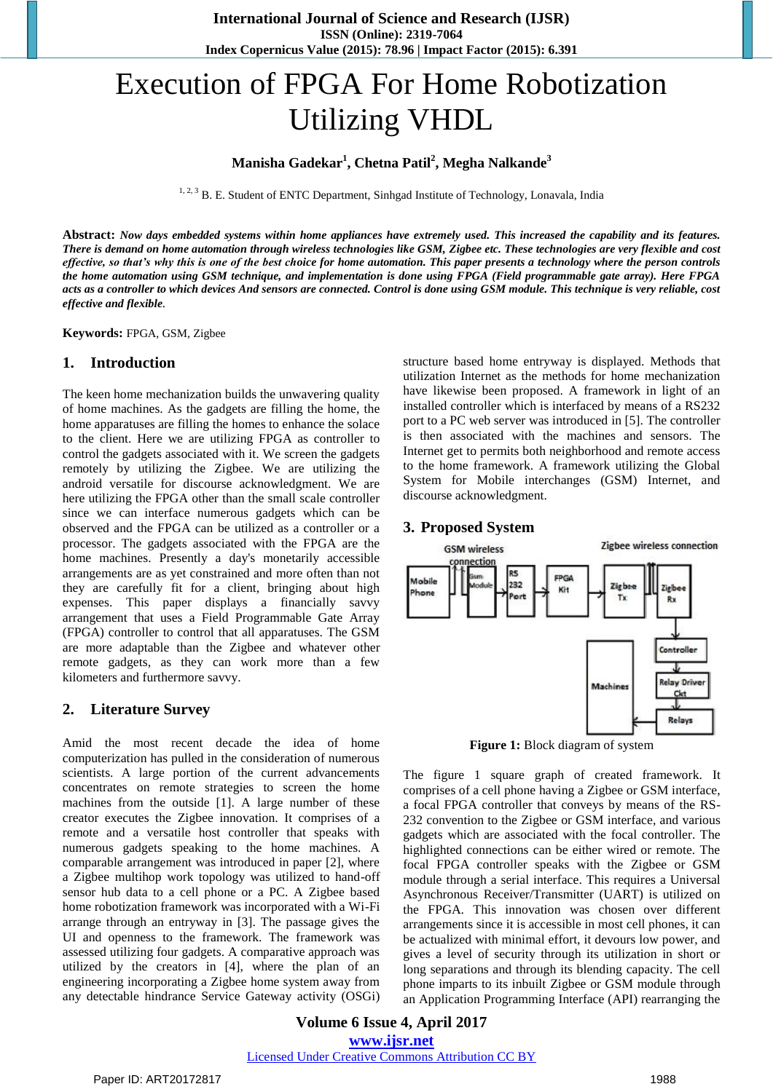# Execution of FPGA For Home Robotization Utilizing VHDL

## **Manisha Gadekar<sup>1</sup> , Chetna Patil<sup>2</sup> , Megha Nalkande<sup>3</sup>**

<sup>1, 2, 3</sup> B. E. Student of ENTC Department, Sinhgad Institute of Technology, Lonavala, India

**Abstract:** *Now days embedded systems within home appliances have extremely used. This increased the capability and its features. There is demand on home automation through wireless technologies like GSM, Zigbee etc. These technologies are very flexible and cost effective, so that's why this is one of the best choice for home automation. This paper presents a technology where the person controls the home automation using GSM technique, and implementation is done using FPGA (Field programmable gate array). Here FPGA acts as a controller to which devices And sensors are connected. Control is done using GSM module. This technique is very reliable, cost effective and flexible.*

**Keywords:** FPGA, GSM, Zigbee

#### **1. Introduction**

The keen home mechanization builds the unwavering quality of home machines. As the gadgets are filling the home, the home apparatuses are filling the homes to enhance the solace to the client. Here we are utilizing FPGA as controller to control the gadgets associated with it. We screen the gadgets remotely by utilizing the Zigbee. We are utilizing the android versatile for discourse acknowledgment. We are here utilizing the FPGA other than the small scale controller since we can interface numerous gadgets which can be observed and the FPGA can be utilized as a controller or a processor. The gadgets associated with the FPGA are the home machines. Presently a day's monetarily accessible arrangements are as yet constrained and more often than not they are carefully fit for a client, bringing about high expenses. This paper displays a financially savvy arrangement that uses a Field Programmable Gate Array (FPGA) controller to control that all apparatuses. The GSM are more adaptable than the Zigbee and whatever other remote gadgets, as they can work more than a few kilometers and furthermore savvy.

### **2. Literature Survey**

Amid the most recent decade the idea of home computerization has pulled in the consideration of numerous scientists. A large portion of the current advancements concentrates on remote strategies to screen the home machines from the outside [1]. A large number of these creator executes the Zigbee innovation. It comprises of a remote and a versatile host controller that speaks with numerous gadgets speaking to the home machines. A comparable arrangement was introduced in paper [2], where a Zigbee multihop work topology was utilized to hand-off sensor hub data to a cell phone or a PC. A Zigbee based home robotization framework was incorporated with a Wi-Fi arrange through an entryway in [3]. The passage gives the UI and openness to the framework. The framework was assessed utilizing four gadgets. A comparative approach was utilized by the creators in [4], where the plan of an engineering incorporating a Zigbee home system away from any detectable hindrance Service Gateway activity (OSGi) structure based home entryway is displayed. Methods that utilization Internet as the methods for home mechanization have likewise been proposed. A framework in light of an installed controller which is interfaced by means of a RS232 port to a PC web server was introduced in [5]. The controller is then associated with the machines and sensors. The Internet get to permits both neighborhood and remote access to the home framework. A framework utilizing the Global System for Mobile interchanges (GSM) Internet, and discourse acknowledgment.

#### **3. Proposed System**



**Figure 1:** Block diagram of system

The figure 1 square graph of created framework. It comprises of a cell phone having a Zigbee or GSM interface, a focal FPGA controller that conveys by means of the RS-232 convention to the Zigbee or GSM interface, and various gadgets which are associated with the focal controller. The highlighted connections can be either wired or remote. The focal FPGA controller speaks with the Zigbee or GSM module through a serial interface. This requires a Universal Asynchronous Receiver/Transmitter (UART) is utilized on the FPGA. This innovation was chosen over different arrangements since it is accessible in most cell phones, it can be actualized with minimal effort, it devours low power, and gives a level of security through its utilization in short or long separations and through its blending capacity. The cell phone imparts to its inbuilt Zigbee or GSM module through an Application Programming Interface (API) rearranging the

**Volume 6 Issue 4, April 2017 www.ijsr.net** Licensed Under Creative Commons Attribution CC BY